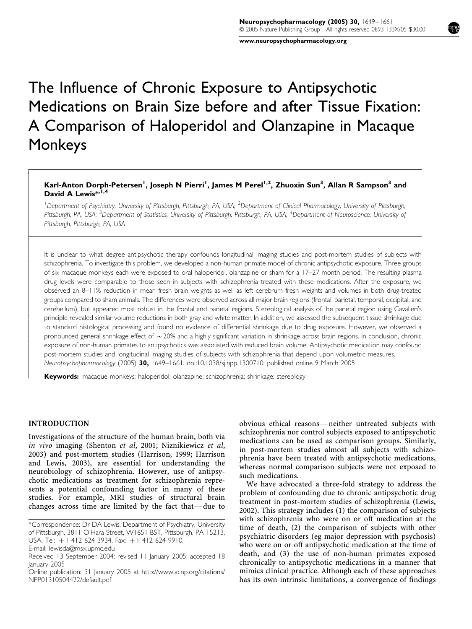www.neuropsychopharmacology.org

# The Influence of Chronic Exposure to Antipsychotic Medications on Brain Size before and after Tissue Fixation: A Comparison of Haloperidol and Olanzapine in Macaque Monkeys

## Karl-Anton Dorph-Petersen<sup>1</sup>, Joseph N Pierri<sup>1</sup>, James M Perel<sup>1,2</sup>, Zhuoxin Sun<sup>3</sup>, Allan R Sampson<sup>3</sup> and David A Lewis\*, 1,4

<sup>1</sup>Department of Psychiatry, University of Pittsburgh, Pittsburgh, PA, USA; <sup>2</sup>Department of Clinical Pharmacology, University of Pittsburgh, Pittsburgh, PA, USA; <sup>3</sup>Department of Statistics, University of Pittsburgh, Pittsburgh, PA, USA; <sup>4</sup>Department of Neuroscience, University of Pittsburgh, Pittsburgh, PA, USA

It is unclear to what degree antipsychotic therapy confounds longitudinal imaging studies and post-mortem studies of subjects with schizophrenia. To investigate this problem, we developed a non-human primate model of chronic antipsychotic exposure. Three groups of six macaque monkeys each were exposed to oral haloperidol, olanzapine or sham for a 17–27 month period. The resulting plasma drug levels were comparable to those seen in subjects with schizophrenia treated with these medications. After the exposure, we observed an 8–11% reduction in mean fresh brain weights as well as left cerebrum fresh weights and volumes in both drug-treated groups compared to sham animals. The differences were observed across all major brain regions (frontal, parietal, temporal, occipital, and cerebellum), but appeared most robust in the frontal and parietal regions. Stereological analysis of the parietal region using Cavalieri's principle revealed similar volume reductions in both gray and white matter. In addition, we assessed the subsequent tissue shrinkage due to standard histological processing and found no evidence of differential shrinkage due to drug exposure. However, we observed a pronounced general shrinkage effect of  $\sim$  20% and a highly significant variation in shrinkage across brain regions. In conclusion, chronic exposure of non-human primates to antipsychotics was associated with reduced brain volume. Antipsychotic medication may confound post-mortem studies and longitudinal imaging studies of subjects with schizophrenia that depend upon volumetric measures. Neuropsychopharmacology (2005) 30, 1649-1661. doi:10.1038/sj.npp.1300710; published online 9 March 2005

Keywords: macaque monkeys; haloperidol; olanzapine; schizophrenia; shrinkage; stereology

#### INTRODUCTION

 $\overline{1}$  $\overline{1}$  $\overline{1}$  $\bigg\}$  $\overline{\phantom{a}}$  $\overline{\phantom{a}}$  $\overline{\phantom{a}}$  $\bigg\}$  $\bigg\}$  $\overline{\phantom{a}}$  $\overline{\phantom{a}}$  $\overline{\phantom{a}}$  $\overline{\phantom{a}}$  $\bigg\}$  $\bigg\}$  $\overline{\phantom{a}}$ ł ľ  $\overline{\phantom{a}}$  $\bigg\}$  $\bigg\}$  $\overline{\phantom{a}}$  $\overline{\phantom{a}}$  $\overline{\phantom{a}}$  $\bigg\}$  $\bigg\}$  $\overline{\phantom{a}}$  $\overline{\phantom{a}}$  $\overline{\phantom{a}}$  $\overline{\phantom{a}}$  $\bigg\}$  $\bigg\}$  $\overline{\phantom{a}}$  $\overline{\phantom{a}}$  $\overline{\phantom{a}}$  $\bigg\}$  $\bigg\}$  $\overline{\phantom{a}}$  $\overline{\phantom{a}}$  $\overline{\phantom{a}}$  $\overline{\phantom{a}}$  $\bigg\}$  $\bigg\}$  $\overline{\phantom{a}}$  $\overline{\phantom{a}}$  $\overline{\phantom{a}}$  $\overline{\phantom{a}}$  $\bigg\}$  $\bigg\}$  $\overline{\phantom{a}}$ 

Investigations of the structure of the human brain, both via in vivo imaging (Shenton et al, 2001; Niznikiewicz et al, 2003) and post-mortem studies (Harrison, 1999; Harrison and Lewis, 2003), are essential for understanding the neurobiology of schizophrenia. However, use of antipsychotic medications as treatment for schizophrenia represents a potential confounding factor in many of these studies. For example, MRI studies of structural brain changes across time are limited by the fact that—due to obvious ethical reasons—neither untreated subjects with schizophrenia nor control subjects exposed to antipsychotic medications can be used as comparison groups. Similarly, in post-mortem studies almost all subjects with schizophrenia have been treated with antipsychotic medications, whereas normal comparison subjects were not exposed to such medications.

We have advocated a three-fold strategy to address the problem of confounding due to chronic antipsychotic drug treatment in post-mortem studies of schizophrenia (Lewis, 2002). This strategy includes (1) the comparison of subjects with schizophrenia who were on or off medication at the time of death, (2) the comparison of subjects with other psychiatric disorders (eg major depression with psychosis) who were on or off antipsychotic medication at the time of death, and (3) the use of non-human primates exposed chronically to antipsychotic medications in a manner that mimics clinical practice. Although each of these approaches has its own intrinsic limitations, a convergence of findings

<sup>\*</sup>Correspondence: Dr DA Lewis, Department of Psychiatry, University of Pittsburgh, 3811 O'Hara Street, W1651 BST, Pittsburgh, PA 15213, USA, Tel: + 1 412 624 3934, Fax: + 1 412 624 9910,

E-mail: lewisda@msx.upmc.edu

Received 13 September 2004; revised 11 January 2005; accepted 18 January 2005

Online publication: 31 January 2005 at http://www.acnp.org/citations/ NPP01310504422/default.pdf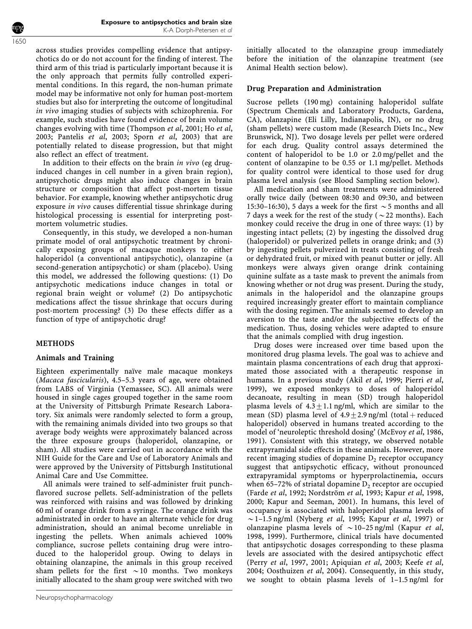across studies provides compelling evidence that antipsychotics do or do not account for the finding of interest. The third arm of this triad is particularly important because it is the only approach that permits fully controlled experimental conditions. In this regard, the non-human primate model may be informative not only for human post-mortem studies but also for interpreting the outcome of longitudinal in vivo imaging studies of subjects with schizophrenia. For example, such studies have found evidence of brain volume changes evolving with time (Thompson et al, 2001; Ho et al, 2003; Pantelis et al, 2003; Sporn et al, 2003) that are potentially related to disease progression, but that might also reflect an effect of treatment.

In addition to their effects on the brain *in vivo* (eg druginduced changes in cell number in a given brain region), antipsychotic drugs might also induce changes in brain structure or composition that affect post-mortem tissue behavior. For example, knowing whether antipsychotic drug exposure in vivo causes differential tissue shrinkage during histological processing is essential for interpreting postmortem volumetric studies.

Consequently, in this study, we developed a non-human primate model of oral antipsychotic treatment by chronically exposing groups of macaque monkeys to either haloperidol (a conventional antipsychotic), olanzapine (a second-generation antipsychotic) or sham (placebo). Using this model, we addressed the following questions: (1) Do antipsychotic medications induce changes in total or regional brain weight or volume? (2) Do antipsychotic medications affect the tissue shrinkage that occurs during post-mortem processing? (3) Do these effects differ as a function of type of antipsychotic drug?

## METHODS

## Animals and Training

Eighteen experimentally naïve male macaque monkeys (Macaca fascicularis), 4.5–5.3 years of age, were obtained from LABS of Virginia (Yemassee, SC). All animals were housed in single cages grouped together in the same room at the University of Pittsburgh Primate Research Laboratory. Six animals were randomly selected to form a group, with the remaining animals divided into two groups so that average body weights were approximately balanced across the three exposure groups (haloperidol, olanzapine, or sham). All studies were carried out in accordance with the NIH Guide for the Care and Use of Laboratory Animals and were approved by the University of Pittsburgh Institutional Animal Care and Use Committee.

All animals were trained to self-administer fruit punchflavored sucrose pellets. Self-administration of the pellets was reinforced with raisins and was followed by drinking 60 ml of orange drink from a syringe. The orange drink was administrated in order to have an alternate vehicle for drug administration, should an animal become unreliable in ingesting the pellets. When animals achieved 100% compliance, sucrose pellets containing drug were introduced to the haloperidol group. Owing to delays in obtaining olanzapine, the animals in this group received sham pellets for the first  $\sim$  10 months. Two monkeys initially allocated to the sham group were switched with two initially allocated to the olanzapine group immediately before the initiation of the olanzapine treatment (see Animal Health section below).

## Drug Preparation and Administration

Sucrose pellets (190 mg) containing haloperidol sulfate (Spectrum Chemicals and Laboratory Products, Gardena, CA), olanzapine (Eli Lilly, Indianapolis, IN), or no drug (sham pellets) were custom made (Research Diets Inc., New Brunswick, NJ). Two dosage levels per pellet were ordered for each drug. Quality control assays determined the content of haloperidol to be 1.0 or 2.0 mg/pellet and the content of olanzapine to be 0.55 or 1.1 mg/pellet. Methods for quality control were identical to those used for drug plasma level analysis (see Blood Sampling section below).

All medication and sham treatments were administered orally twice daily (between 08:30 and 09:30, and between 15:30–16:30), 5 days a week for the first  $\sim$  5 months and all 7 days a week for the rest of the study ( $\sim$  22 months). Each monkey could receive the drug in one of three ways: (1) by ingesting intact pellets; (2) by ingesting the dissolved drug (haloperidol) or pulverized pellets in orange drink; and (3) by ingesting pellets pulverized in treats consisting of fresh or dehydrated fruit, or mixed with peanut butter or jelly. All monkeys were always given orange drink containing quinine sulfate as a taste mask to prevent the animals from knowing whether or not drug was present. During the study, animals in the haloperidol and the olanzapine groups required increasingly greater effort to maintain compliance with the dosing regimen. The animals seemed to develop an aversion to the taste and/or the subjective effects of the medication. Thus, dosing vehicles were adapted to ensure that the animals complied with drug ingestion.

Drug doses were increased over time based upon the monitored drug plasma levels. The goal was to achieve and maintain plasma concentrations of each drug that approximated those associated with a therapeutic response in humans. In a previous study (Akil et al, 1999; Pierri et al, 1999), we exposed monkeys to doses of haloperidol decanoate, resulting in mean (SD) trough haloperidol plasma levels of  $4.3 \pm 1.1$  ng/ml, which are similar to the mean (SD) plasma level of  $4.9 \pm 2.9$  ng/ml (total + reduced haloperidol) observed in humans treated according to the model of 'neuroleptic threshold dosing' (McEvoy et al, 1986, 1991). Consistent with this strategy, we observed notable extrapyramidal side effects in these animals. However, more recent imaging studies of dopamine  $D_2$  receptor occupancy suggest that antipsychotic efficacy, without pronounced extrapyramidal symptoms or hyperprolactinemia, occurs when 65–72% of striatal dopamine  $D_2$  receptor are occupied (Farde et al, 1992; Nordström et al, 1993; Kapur et al, 1998, 2000; Kapur and Seeman, 2001). In humans, this level of occupancy is associated with haloperidol plasma levels of  $\sim$  1–1.5 ng/ml (Nyberg *et al*, 1995; Kapur *et al*, 1997) or olanzapine plasma levels of  $\sim$  10–25 ng/ml (Kapur *et al*, 1998, 1999). Furthermore, clinical trials have documented that antipsychotic dosages corresponding to these plasma levels are associated with the desired antipsychotic effect (Perry et al, 1997, 2001; Apiquian et al, 2003; Keefe et al, 2004; Oosthuizen et al, 2004). Consequently, in this study, we sought to obtain plasma levels of 1–1.5 ng/ml for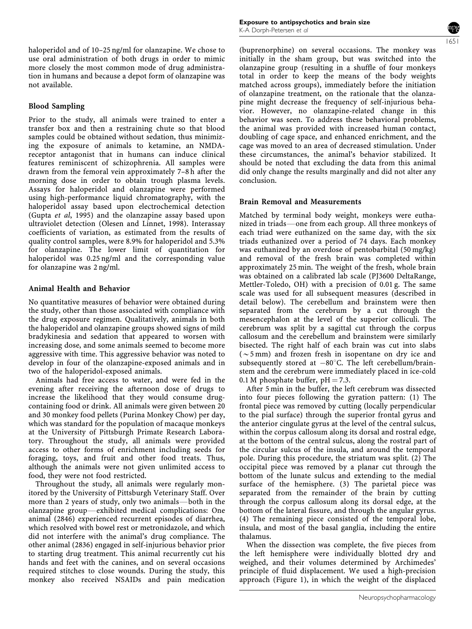haloperidol and of 10–25 ng/ml for olanzapine. We chose to use oral administration of both drugs in order to mimic more closely the most common mode of drug administration in humans and because a depot form of olanzapine was not available.

## Blood Sampling

Prior to the study, all animals were trained to enter a transfer box and then a restraining chute so that blood samples could be obtained without sedation, thus minimizing the exposure of animals to ketamine, an NMDAreceptor antagonist that in humans can induce clinical features reminiscent of schizophrenia. All samples were drawn from the femoral vein approximately 7–8 h after the morning dose in order to obtain trough plasma levels. Assays for haloperidol and olanzapine were performed using high-performance liquid chromatography, with the haloperidol assay based upon electrochemical detection (Gupta et al, 1995) and the olanzapine assay based upon ultraviolet detection (Olesen and Linnet, 1998). Interassay coefficients of variation, as estimated from the results of quality control samples, were 8.9% for haloperidol and 5.3% for olanzapine. The lower limit of quantitation for haloperidol was 0.25 ng/ml and the corresponding value for olanzapine was 2 ng/ml.

## Animal Health and Behavior

No quantitative measures of behavior were obtained during the study, other than those associated with compliance with the drug exposure regimen. Qualitatively, animals in both the haloperidol and olanzapine groups showed signs of mild bradykinesia and sedation that appeared to worsen with increasing dose, and some animals seemed to become more aggressive with time. This aggressive behavior was noted to develop in four of the olanzapine-exposed animals and in two of the haloperidol-exposed animals.

Animals had free access to water, and were fed in the evening after receiving the afternoon dose of drugs to increase the likelihood that they would consume drugcontaining food or drink. All animals were given between 20 and 30 monkey food pellets (Purina Monkey Chow) per day, which was standard for the population of macaque monkeys at the University of Pittsburgh Primate Research Laboratory. Throughout the study, all animals were provided access to other forms of enrichment including seeds for foraging, toys, and fruit and other food treats. Thus, although the animals were not given unlimited access to food, they were not food restricted.

Throughout the study, all animals were regularly monitored by the University of Pittsburgh Veterinary Staff. Over more than 2 years of study, only two animals—both in the olanzapine group—exhibited medical complications: One animal (2846) experienced recurrent episodes of diarrhea, which resolved with bowel rest or metronidazole, and which did not interfere with the animal's drug compliance. The other animal (2836) engaged in self-injurious behavior prior to starting drug treatment. This animal recurrently cut his hands and feet with the canines, and on several occasions required stitches to close wounds. During the study, this monkey also received NSAIDs and pain medication (buprenorphine) on several occasions. The monkey was initially in the sham group, but was switched into the olanzapine group (resulting in a shuffle of four monkeys total in order to keep the means of the body weights matched across groups), immediately before the initiation of olanzapine treatment, on the rationale that the olanzapine might decrease the frequency of self-injurious behavior. However, no olanzapine-related change in this behavior was seen. To address these behavioral problems, the animal was provided with increased human contact, doubling of cage space, and enhanced enrichment, and the cage was moved to an area of decreased stimulation. Under these circumstances, the animal's behavior stabilized. It should be noted that excluding the data from this animal did only change the results marginally and did not alter any conclusion.

# Brain Removal and Measurements

Matched by terminal body weight, monkeys were euthanized in triads—one from each group. All three monkeys of each triad were euthanized on the same day, with the six triads euthanized over a period of 74 days. Each monkey was euthanized by an overdose of pentobarbital (50 mg/kg) and removal of the fresh brain was completed within approximately 25 min. The weight of the fresh, whole brain was obtained on a calibrated lab scale (PJ3600 DeltaRange, Mettler-Toledo, OH) with a precision of 0.01 g. The same scale was used for all subsequent measures (described in detail below). The cerebellum and brainstem were then separated from the cerebrum by a cut through the mesencephalon at the level of the superior colliculi. The cerebrum was split by a sagittal cut through the corpus callosum and the cerebellum and brainstem were similarly bisected. The right half of each brain was cut into slabs  $(\sim 5 \text{ mm})$  and frozen fresh in isopentane on dry ice and subsequently stored at  $-80^{\circ}$ C. The left cerebellum/brainstem and the cerebrum were immediately placed in ice-cold 0.1 M phosphate buffer,  $pH = 7.3$ .

After 5 min in the buffer, the left cerebrum was dissected into four pieces following the gyration pattern: (1) The frontal piece was removed by cutting (locally perpendicular to the pial surface) through the superior frontal gyrus and the anterior cingulate gyrus at the level of the central sulcus, within the corpus callosum along its dorsal and rostral edge, at the bottom of the central sulcus, along the rostral part of the circular sulcus of the insula, and around the temporal pole. During this procedure, the striatum was split. (2) The occipital piece was removed by a planar cut through the bottom of the lunate sulcus and extending to the medial surface of the hemisphere. (3) The parietal piece was separated from the remainder of the brain by cutting through the corpus callosum along its dorsal edge, at the bottom of the lateral fissure, and through the angular gyrus. (4) The remaining piece consisted of the temporal lobe, insula, and most of the basal ganglia, including the entire thalamus.

When the dissection was complete, the five pieces from the left hemisphere were individually blotted dry and weighed, and their volumes determined by Archimedes' principle of fluid displacement. We used a high-precision approach (Figure 1), in which the weight of the displaced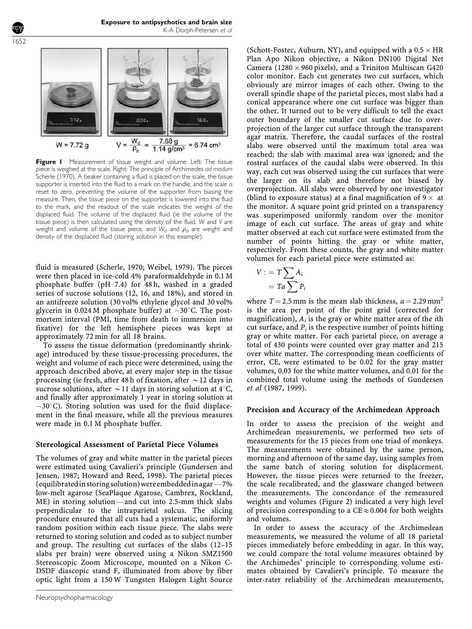

Figure I Measurement of tissue weight and volume. Left: The tissue piece is weighed at the scale. Right: The principle of Archimedes ad modum Scherle (1970). A beaker containing a fluid is placed on the scale, the tissue supporter is inserted into the fluid to a mark on the handle, and the scale is reset to zero, preventing the volume of the supporter from biasing the measure. Then, the tissue piece on the supporter is lowered into the fluid to the mark, and the readout of the scale indicates the weight of the displaced fluid. The volume of the displaced fluid (ie the volume of the tissue piece) is then calculated using the density of the fluid. W and V are weight and volume of the tissue piece, and  $W_d$  and  $\rho_d$  are weight and density of the displaced fluid (storing solution in this example).

fluid is measured (Scherle, 1970; Weibel, 1979). The pieces were then placed in ice-cold 4% paraformaldehyde in 0.1 M phosphate buffer (pH 7.4) for 48 h, washed in a graded series of sucrose solutions (12, 16, and 18%), and stored in an antifreeze solution (30 vol% ethylene glycol and 30 vol% glycerin in 0.024 M phosphate buffer) at  $-30^{\circ}$ C. The postmortem interval (PMI, time from death to immersion into fixative) for the left hemisphere pieces was kept at approximately 72 min for all 18 brains.

To assess the tissue deformation (predominantly shrinkage) introduced by these tissue-processing procedures, the weight and volume of each piece were determined, using the approach described above, at every major step in the tissue processing (ie fresh, after 48 h of fixation, after  $\sim$  12 days in sucrose solutions, after  $\sim$  11 days in storing solution at 4<sup>°</sup>C, and finally after approximately 1 year in storing solution at  $-30^{\circ}$ C). Storing solution was used for the fluid displacement in the final measure, while all the previous measures were made in 0.1 M phosphate buffer.

#### Stereological Assessment of Parietal Piece Volumes

The volumes of gray and white matter in the parietal pieces were estimated using Cavalieri's principle (Gundersen and Jensen, 1987; Howard and Reed, 1998). The parietal pieces (equilibrated in storing solution) were embedded in agar  $-7%$ low-melt agarose (SeaPlaque Agarose, Cambrex, Rockland,  $ME$ ) in storing solution—and cut into 2.5-mm thick slabs perpendicular to the intraparietal sulcus. The slicing procedure ensured that all cuts had a systematic, uniformly random position within each tissue piece. The slabs were returned to storing solution and coded as to subject number and group. The resulting cut surfaces of the slabs (12–15 slabs per brain) were observed using a Nikon SMZ1500 Stereoscopic Zoom Microscope, mounted on a Nikon C-DSDF diascopic stand F, illuminated from above by fiber optic light from a 150 W Tungsten Halogen Light Source (Schott-Fostec, Auburn, NY), and equipped with a  $0.5 \times HR$ Plan Apo Nikon objective, a Nikon DN100 Digital Net Camera (1280  $\times$  960 pixels), and a Triniton Multiscan G420 color monitor. Each cut generates two cut surfaces, which obviously are mirror images of each other. Owing to the overall spindle shape of the parietal pieces, most slabs had a conical appearance where one cut surface was bigger than the other. It turned out to be very difficult to tell the exact outer boundary of the smaller cut surface due to overprojection of the larger cut surface through the transparent agar matrix. Therefore, the caudal surfaces of the rostral slabs were observed until the maximum total area was reached; the slab with maximal area was ignored; and the rostral surfaces of the caudal slabs were observed. In this way, each cut was observed using the cut surfaces that were the larger on its slab and therefore not biased by overprojection. All slabs were observed by one investigator (blind to exposure status) at a final magnification of  $9 \times$  at the monitor. A square point grid printed on a transparency was superimposed uniformly random over the monitor image of each cut surface. The areas of gray and white matter observed at each cut surface were estimated from the number of points hitting the gray or white matter, respectively. From these counts, the gray and white matter volumes for each parietal piece were estimated as:

$$
V := T \sum A_i
$$
  
=  $Ta \sum P_i$ 

where  $T = 2.5$  mm is the mean slab thickness,  $a = 2.29$  mm<sup>2</sup> is the area per point of the point grid (corrected for magnification),  $A_i$  is the gray or white matter area of the *i*th cut surface, and  $P_i$  is the respective number of points hitting gray or white matter. For each parietal piece, on average a total of 430 points were counted over gray matter and 215 over white matter. The corresponding mean coefficients of error, CE, were estimated to be 0.02 for the gray matter volumes, 0.03 for the white matter volumes, and 0.01 for the combined total volume using the methods of Gundersen et al (1987, 1999).

# Precision and Accuracy of the Archimedean Approach

In order to assess the precision of the weight and Archimedean measurements, we performed two sets of measurements for the 15 pieces from one triad of monkeys. The measurements were obtained by the same person, morning and afternoon of the same day, using samples from the same batch of storing solution for displacement. However, the tissue pieces were returned to the freezer, the scale recalibrated, and the glassware changed between the measurements. The concordance of the remeasured weights and volumes (Figure 2) indicated a very high level of precision corresponding to a  $CE \approx 0.004$  for both weights and volumes.

In order to assess the accuracy of the Archimedean measurements, we measured the volume of all 18 parietal pieces immediately before embedding in agar. In this way, we could compare the total volume measures obtained by the Archimedes' principle to corresponding volume estimates obtained by Cavalieri's principle. To measure the inter-rater reliability of the Archimedean measurements,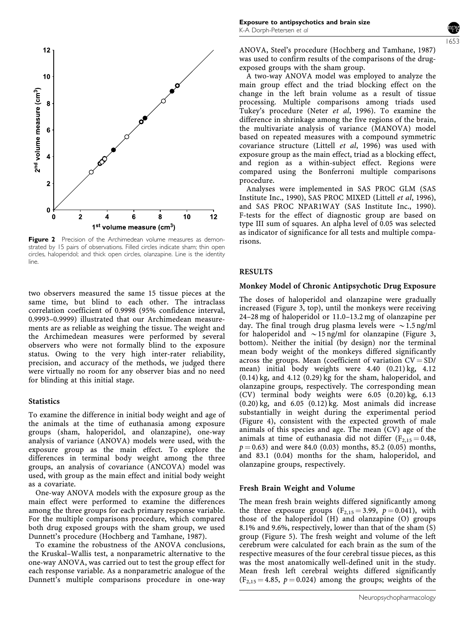

Figure 2 Precision of the Archimedean volume measures as demonstrated by 15 pairs of observations. Filled circles indicate sham; thin open circles, haloperidol; and thick open circles, olanzapine. Line is the identity line.

two observers measured the same 15 tissue pieces at the same time, but blind to each other. The intraclass correlation coefficient of 0.9998 (95% confidence interval, 0.9993–0.9999) illustrated that our Archimedean measurements are as reliable as weighing the tissue. The weight and the Archimedean measures were performed by several observers who were not formally blind to the exposure status. Owing to the very high inter-rater reliability, precision, and accuracy of the methods, we judged there were virtually no room for any observer bias and no need for blinding at this initial stage.

#### **Statistics**

To examine the difference in initial body weight and age of the animals at the time of euthanasia among exposure groups (sham, haloperidol, and olanzapine), one-way analysis of variance (ANOVA) models were used, with the exposure group as the main effect. To explore the differences in terminal body weight among the three groups, an analysis of covariance (ANCOVA) model was used, with group as the main effect and initial body weight as a covariate.

One-way ANOVA models with the exposure group as the main effect were performed to examine the differences among the three groups for each primary response variable. For the multiple comparisons procedure, which compared both drug exposed groups with the sham group, we used Dunnett's procedure (Hochberg and Tamhane, 1987).

To examine the robustness of the ANOVA conclusions, the Kruskal–Wallis test, a nonparametric alternative to the one-way ANOVA, was carried out to test the group effect for each response variable. As a nonparametric analogue of the Dunnett's multiple comparisons procedure in one-way ANOVA, Steel's procedure (Hochberg and Tamhane, 1987) was used to confirm results of the comparisons of the drugexposed groups with the sham group.

A two-way ANOVA model was employed to analyze the main group effect and the triad blocking effect on the change in the left brain volume as a result of tissue processing. Multiple comparisons among triads used Tukey's procedure (Neter et al, 1996). To examine the difference in shrinkage among the five regions of the brain, the multivariate analysis of variance (MANOVA) model based on repeated measures with a compound symmetric covariance structure (Littell et al, 1996) was used with exposure group as the main effect, triad as a blocking effect, and region as a within-subject effect. Regions were compared using the Bonferroni multiple comparisons procedure.

Analyses were implemented in SAS PROC GLM (SAS Institute Inc., 1990), SAS PROC MIXED (Littell et al, 1996), and SAS PROC NPAR1WAY (SAS Institute Inc., 1990). F-tests for the effect of diagnostic group are based on type III sum of squares. An alpha level of 0.05 was selected as indicator of significance for all tests and multiple comparisons.

#### RESULTS

#### Monkey Model of Chronic Antipsychotic Drug Exposure

The doses of haloperidol and olanzapine were gradually increased (Figure 3, top), until the monkeys were receiving 24–28 mg of haloperidol or 11.0–13.2 mg of olanzapine per day. The final trough drug plasma levels were  $\sim$  1.5 ng/ml for haloperidol and  $\sim$  15 ng/ml for olanzapine (Figure 3, bottom). Neither the initial (by design) nor the terminal mean body weight of the monkeys differed significantly across the groups. Mean (coefficient of variation  $CV = SD/$ mean) initial body weights were 4.40 (0.21) kg, 4.12 (0.14) kg, and 4.12 (0.29) kg for the sham, haloperidol, and olanzapine groups, respectively. The corresponding mean (CV) terminal body weights were 6.05 (0.20) kg, 6.13  $(0.20)$  kg, and  $6.05$   $(0.12)$  kg. Most animals did increase substantially in weight during the experimental period (Figure 4), consistent with the expected growth of male animals of this species and age. The mean (CV) age of the animals at time of euthanasia did not differ  $(F_{2,15} = 0.48,$  $p = 0.63$ ) and were 84.0 (0.03) months, 85.2 (0.05) months, and 83.1 (0.04) months for the sham, haloperidol, and olanzapine groups, respectively.

## Fresh Brain Weight and Volume

The mean fresh brain weights differed significantly among the three exposure groups  $(F_{2,15} = 3.99, p = 0.041)$ , with those of the haloperidol (H) and olanzapine (O) groups 8.1% and 9.6%, respectively, lower than that of the sham (S) group (Figure 5). The fresh weight and volume of the left cerebrum were calculated for each brain as the sum of the respective measures of the four cerebral tissue pieces, as this was the most anatomically well-defined unit in the study. Mean fresh left cerebral weights differed significantly  $(F_{2,15} = 4.85, p = 0.024)$  among the groups; weights of the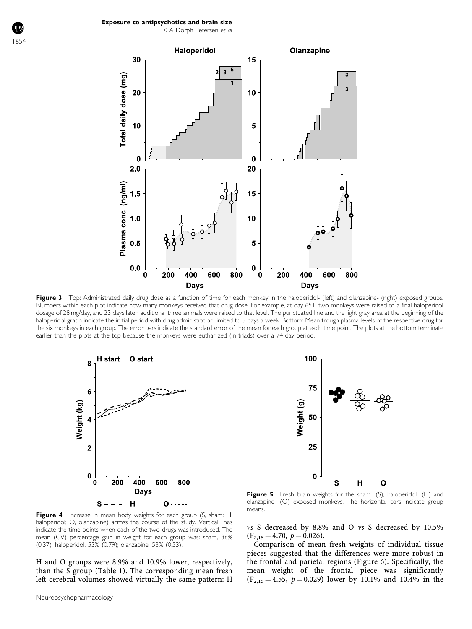

Figure 3 Top: Administrated daily drug dose as a function of time for each monkey in the haloperidol- (left) and olanzapine- (right) exposed groups. Numbers within each plot indicate how many monkeys received that drug dose. For example, at day 651, two monkeys were raised to a final haloperidol dosage of 28 mg/day, and 23 days later, additional three animals were raised to that level. The punctuated line and the light gray area at the beginning of the haloperidol graph indicate the initial period with drug administration limited to 5 days a week. Bottom: Mean trough plasma levels of the respective drug for the six monkeys in each group. The error bars indicate the standard error of the mean for each group at each time point. The plots at the bottom terminate earlier than the plots at the top because the monkeys were euthanized (in triads) over a 74-day period.





Figure 4 Increase in mean body weights for each group (S, sham; H, haloperidol; O, olanzapine) across the course of the study. Vertical lines indicate the time points when each of the two drugs was introduced. The mean (CV) percentage gain in weight for each group was: sham, 38% (0.37); haloperidol, 53% (0.79); olanzapine, 53% (0.53).

H and O groups were 8.9% and 10.9% lower, respectively, than the S group (Table 1). The corresponding mean fresh left cerebral volumes showed virtually the same pattern: H

Neuropsychopharmacology

Figure 5 Fresh brain weights for the sham- (S), haloperidol- (H) and olanzapine- (O) exposed monkeys. The horizontal bars indicate group means.

vs S decreased by 8.8% and O vs S decreased by 10.5%  $(F_{2,15} = 4.70, p = 0.026).$ 

Comparison of mean fresh weights of individual tissue pieces suggested that the differences were more robust in the frontal and parietal regions (Figure 6). Specifically, the mean weight of the frontal piece was significantly  $(F_{2,15} = 4.55, p = 0.029)$  lower by 10.1% and 10.4% in the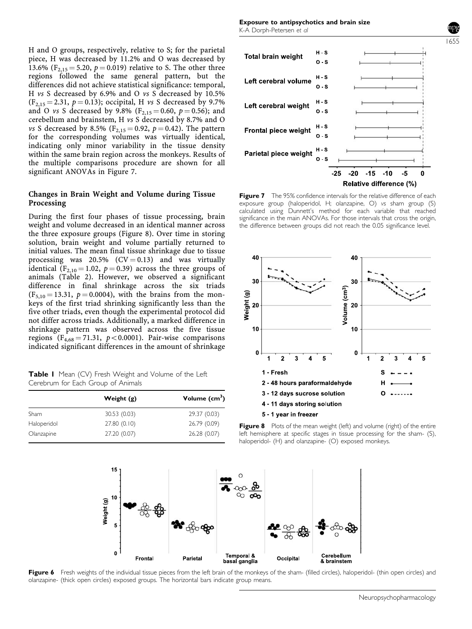H and O groups, respectively, relative to S; for the parietal piece, H was decreased by 11.2% and O was decreased by 13.6% ( $F_{2,15} = 5.20$ ,  $p = 0.019$ ) relative to S. The other three regions followed the same general pattern, but the differences did not achieve statistical significance: temporal, H vs S decreased by 6.9% and O vs S decreased by 10.5%  $(F_{2,15} = 2.31, p = 0.13)$ ; occipital, H vs S decreased by 9.7% and O vs S decreased by 9.8% ( $F_{2,15} = 0.60$ ,  $p = 0.56$ ); and cerebellum and brainstem, H vs S decreased by 8.7% and O *vs* S decreased by 8.5% ( $F_{2,15} = 0.92$ ,  $p = 0.42$ ). The pattern for the corresponding volumes was virtually identical, indicating only minor variability in the tissue density within the same brain region across the monkeys. Results of the multiple comparisons procedure are shown for all significant ANOVAs in Figure 7.

#### Changes in Brain Weight and Volume during Tissue Processing

During the first four phases of tissue processing, brain weight and volume decreased in an identical manner across the three exposure groups (Figure 8). Over time in storing solution, brain weight and volume partially returned to initial values. The mean final tissue shrinkage due to tissue processing was  $20.5\%$  (CV = 0.13) and was virtually identical ( $F_{2,10} = 1.02$ ,  $p = 0.39$ ) across the three groups of animals (Table 2). However, we observed a significant difference in final shrinkage across the six triads  $(F_{5,10} = 13.31, p = 0.0004)$ , with the brains from the monkeys of the first triad shrinking significantly less than the five other triads, even though the experimental protocol did not differ across triads. Additionally, a marked difference in shrinkage pattern was observed across the five tissue regions  $(F_{4,68} = 71.31, p < 0.0001)$ . Pair-wise comparisons indicated significant differences in the amount of shrinkage

Table I Mean (CV) Fresh Weight and Volume of the Left Cerebrum for Each Group of Animals

|             | Weight $(g)$ | Volume (cm <sup>3</sup> ) |
|-------------|--------------|---------------------------|
| Sham        | 30.53 (0.03) | 29.37 (0.03)              |
| Haloperidol | 27.80 (0.10) | 26.79 (0.09)              |
| Olanzapine  | 27.20 (0.07) | 26.28 (0.07)              |



1655

Figure 7 The 95% confidence intervals for the relative difference of each exposure group (haloperidol, H; olanzapine, O) vs sham group (S) calculated using Dunnett's method for each variable that reached significance in the main ANOVAs. For those intervals that cross the origin. the difference between groups did not reach the 0.05 significance level.



Figure 8 Plots of the mean weight (left) and volume (right) of the entire left hemisphere at specific stages in tissue processing for the sham- (S), haloperidol- (H) and olanzapine- (O) exposed monkeys.



Figure 6 Fresh weights of the individual tissue pieces from the left brain of the monkeys of the sham- (filled circles), haloperidol- (thin open circles) and olanzapine- (thick open circles) exposed groups. The horizontal bars indicate group means.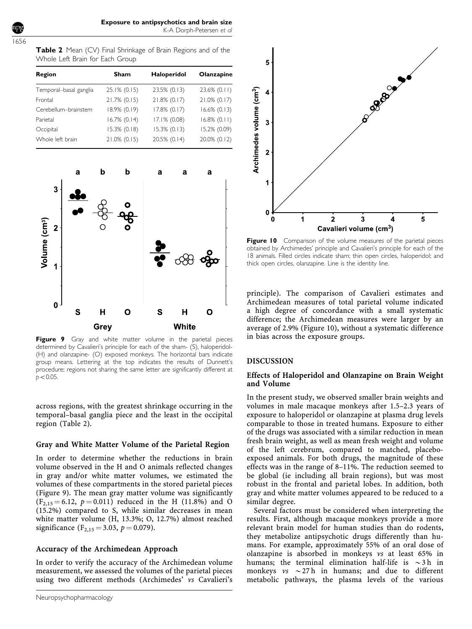Table 2 Mean (CV) Final Shrinkage of Brain Regions and of the Whole Left Brain for Each Group

| Region                 | <b>Sham</b>     | Haloperidol     | Olanzapine      |
|------------------------|-----------------|-----------------|-----------------|
| Temporal-basal ganglia | $25.1\% (0.15)$ | 23.5% (0.13)    | $23.6\%$ (0.11) |
| Frontal                | $21.7\%$ (0.15) | $21.8\%$ (0.17) | $21.0\%$ (0.17) |
| Cerebellum-brainstem   | 18.9% (0.19)    | $17.8\%$ (0.17) | $16.6\% (0.13)$ |
| Parietal               | $16.7\%$ (0.14) | 17.1% (0.08)    | $16.8\%$ (0.11) |
| Occipital              | $15.3\%$ (0.18) | $15.3\%$ (0.13) | 15.2% (0.09)    |
| Whole left brain       | $21.0\%$ (0.15) | 20.5% (0.14)    | 20.0% (0.12)    |



Figure 9 Gray and white matter volume in the parietal pieces determined by Cavalieri's principle for each of the sham- (S), haloperidol- (H) and olanzapine- (O) exposed monkeys. The horizontal bars indicate group means. Lettering at the top indicates the results of Dunnett's procedure; regions not sharing the same letter are significantly different at  $p < 0.05$ .

across regions, with the greatest shrinkage occurring in the temporal–basal ganglia piece and the least in the occipital region (Table 2).

#### Gray and White Matter Volume of the Parietal Region

In order to determine whether the reductions in brain volume observed in the H and O animals reflected changes in gray and/or white matter volumes, we estimated the volumes of these compartments in the stored parietal pieces (Figure 9). The mean gray matter volume was significantly  $(F_{2,15} = 6.12, p = 0.011)$  reduced in the H (11.8%) and O (15.2%) compared to S, while similar decreases in mean white matter volume (H, 13.3%; O, 12.7%) almost reached significance ( $F_{2,15} = 3.03$ ,  $p = 0.079$ ).

## Accuracy of the Archimedean Approach

In order to verify the accuracy of the Archimedean volume measurement, we assessed the volumes of the parietal pieces using two different methods (Archimedes' vs Cavalieri's



Figure 10 Comparison of the volume measures of the parietal pieces obtained by Archimedes' principle and Cavalieri's principle for each of the 18 animals. Filled circles indicate sham; thin open circles, haloperidol; and thick open circles, olanzapine. Line is the identity line.

principle). The comparison of Cavalieri estimates and Archimedean measures of total parietal volume indicated a high degree of concordance with a small systematic difference; the Archimedean measures were larger by an average of 2.9% (Figure 10), without a systematic difference in bias across the exposure groups.

## DISCUSSION

## Effects of Haloperidol and Olanzapine on Brain Weight and Volume

In the present study, we observed smaller brain weights and volumes in male macaque monkeys after 1.5–2.3 years of exposure to haloperidol or olanzapine at plasma drug levels comparable to those in treated humans. Exposure to either of the drugs was associated with a similar reduction in mean fresh brain weight, as well as mean fresh weight and volume of the left cerebrum, compared to matched, placeboexposed animals. For both drugs, the magnitude of these effects was in the range of 8–11%. The reduction seemed to be global (ie including all brain regions), but was most robust in the frontal and parietal lobes. In addition, both gray and white matter volumes appeared to be reduced to a similar degree.

Several factors must be considered when interpreting the results. First, although macaque monkeys provide a more relevant brain model for human studies than do rodents, they metabolize antipsychotic drugs differently than humans. For example, approximately 55% of an oral dose of olanzapine is absorbed in monkeys vs at least 65% in humans; the terminal elimination half-life is  $\sim$ 3h in monkeys  $vs \sim 27$  h in humans; and due to different metabolic pathways, the plasma levels of the various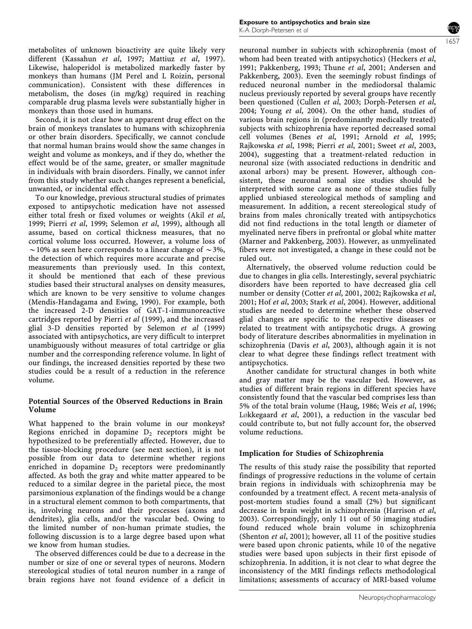metabolites of unknown bioactivity are quite likely very different (Kassahun et al, 1997; Mattiuz et al, 1997). Likewise, haloperidol is metabolized markedly faster by monkeys than humans (JM Perel and L Roizin, personal communication). Consistent with these differences in metabolism, the doses (in mg/kg) required in reaching comparable drug plasma levels were substantially higher in monkeys than those used in humans.

Second, it is not clear how an apparent drug effect on the brain of monkeys translates to humans with schizophrenia or other brain disorders. Specifically, we cannot conclude that normal human brains would show the same changes in weight and volume as monkeys, and if they do, whether the effect would be of the same, greater, or smaller magnitude in individuals with brain disorders. Finally, we cannot infer from this study whether such changes represent a beneficial, unwanted, or incidental effect.

To our knowledge, previous structural studies of primates exposed to antipsychotic medication have not assessed either total fresh or fixed volumes or weights (Akil et al, 1999; Pierri et al, 1999; Selemon et al, 1999), although all assume, based on cortical thickness measures, that no cortical volume loss occurred. However, a volume loss of  $\sim$  10% as seen here corresponds to a linear change of  $\sim$  3%, the detection of which requires more accurate and precise measurements than previously used. In this context, it should be mentioned that each of these previous studies based their structural analyses on density measures, which are known to be very sensitive to volume changes (Mendis-Handagama and Ewing, 1990). For example, both the increased 2-D densities of GAT-1-immunoreactive cartridges reported by Pierri et al (1999), and the increased glial 3-D densities reported by Selemon et al (1999) associated with antipsychotics, are very difficult to interpret unambiguously without measures of total cartridge or glia number and the corresponding reference volume. In light of our findings, the increased densities reported by these two studies could be a result of a reduction in the reference volume.

## Potential Sources of the Observed Reductions in Brain Volume

What happened to the brain volume in our monkeys? Regions enriched in dopamine  $D_2$  receptors might be hypothesized to be preferentially affected. However, due to the tissue-blocking procedure (see next section), it is not possible from our data to determine whether regions enriched in dopamine  $D_2$  receptors were predominantly affected. As both the gray and white matter appeared to be reduced to a similar degree in the parietal piece, the most parsimonious explanation of the findings would be a change in a structural element common to both compartments, that is, involving neurons and their processes (axons and dendrites), glia cells, and/or the vascular bed. Owing to the limited number of non-human primate studies, the following discussion is to a large degree based upon what we know from human studies.

The observed differences could be due to a decrease in the number or size of one or several types of neurons. Modern stereological studies of total neuron number in a range of brain regions have not found evidence of a deficit in neuronal number in subjects with schizophrenia (most of whom had been treated with antipsychotics) (Heckers et al, 1991; Pakkenberg, 1993; Thune et al, 2001; Andersen and Pakkenberg, 2003). Even the seemingly robust findings of reduced neuronal number in the mediodorsal thalamic nucleus previously reported by several groups have recently been questioned (Cullen et al, 2003; Dorph-Petersen et al, 2004; Young et al, 2004). On the other hand, studies of various brain regions in (predominantly medically treated) subjects with schizophrenia have reported decreased somal cell volumes (Benes et al, 1991; Arnold et al, 1995; Rajkowska et al, 1998; Pierri et al, 2001; Sweet et al, 2003, 2004), suggesting that a treatment-related reduction in neuronal size (with associated reductions in dendritic and axonal arbors) may be present. However, although consistent, these neuronal somal size studies should be interpreted with some care as none of these studies fully applied unbiased stereological methods of sampling and measurement. In addition, a recent stereological study of brains from males chronically treated with antipsychotics did not find reductions in the total length or diameter of myelinated nerve fibers in prefrontal or global white matter (Marner and Pakkenberg, 2003). However, as unmyelinated fibers were not investigated, a change in these could not be ruled out.

Alternatively, the observed volume reduction could be due to changes in glia cells. Interestingly, several psychiatric disorders have been reported to have decreased glia cell number or density (Cotter et al, 2001, 2002; Rajkowska et al, 2001; Hof et al, 2003; Stark et al, 2004). However, additional studies are needed to determine whether these observed glial changes are specific to the respective diseases or related to treatment with antipsychotic drugs. A growing body of literature describes abnormalities in myelination in schizophrenia (Davis et al, 2003), although again it is not clear to what degree these findings reflect treatment with antipsychotics.

Another candidate for structural changes in both white and gray matter may be the vascular bed. However, as studies of different brain regions in different species have consistently found that the vascular bed comprises less than 5% of the total brain volume (Haug, 1986; Weis et al, 1996; Løkkegaard et al, 2001), a reduction in the vascular bed could contribute to, but not fully account for, the observed volume reductions.

## Implication for Studies of Schizophrenia

The results of this study raise the possibility that reported findings of progressive reductions in the volume of certain brain regions in individuals with schizophrenia may be confounded by a treatment effect. A recent meta-analysis of post-mortem studies found a small (2%) but significant decrease in brain weight in schizophrenia (Harrison et al, 2003). Correspondingly, only 11 out of 50 imaging studies found reduced whole brain volume in schizophrenia (Shenton et al, 2001); however, all 11 of the positive studies were based upon chronic patients, while 10 of the negative studies were based upon subjects in their first episode of schizophrenia. In addition, it is not clear to what degree the inconsistency of the MRI findings reflects methodological limitations; assessments of accuracy of MRI-based volume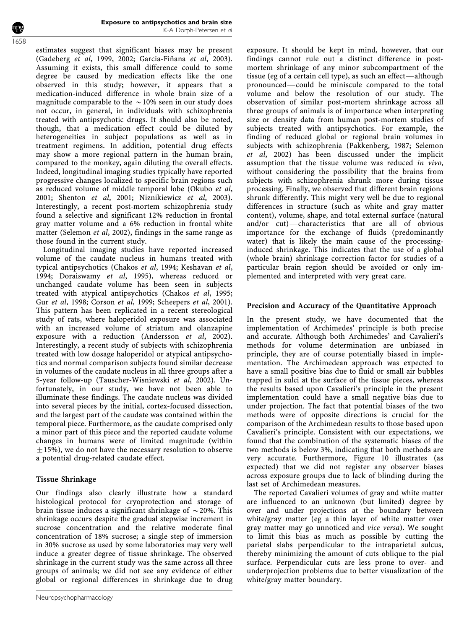1658

estimates suggest that significant biases may be present (Gadeberg et al, 1999, 2002; Garcia-Fiñana et al, 2003). Assuming it exists, this small difference could to some degree be caused by medication effects like the one observed in this study; however, it appears that a medication-induced difference in whole brain size of a magnitude comparable to the  $\sim$  10% seen in our study does not occur, in general, in individuals with schizophrenia treated with antipsychotic drugs. It should also be noted, though, that a medication effect could be diluted by heterogeneities in subject populations as well as in treatment regimens. In addition, potential drug effects may show a more regional pattern in the human brain, compared to the monkey, again diluting the overall effects. Indeed, longitudinal imaging studies typically have reported progressive changes localized to specific brain regions such as reduced volume of middle temporal lobe (Okubo et al, 2001; Shenton et al, 2001; Niznikiewicz et al, 2003). Interestingly, a recent post-mortem schizophrenia study found a selective and significant 12% reduction in frontal gray matter volume and a 6% reduction in frontal white matter (Selemon et al, 2002), findings in the same range as those found in the current study.

Longitudinal imaging studies have reported increased volume of the caudate nucleus in humans treated with typical antipsychotics (Chakos et al, 1994; Keshavan et al, 1994; Doraiswamy et al, 1995), whereas reduced or unchanged caudate volume has been seen in subjects treated with atypical antipsychotics (Chakos et al, 1995; Gur et al, 1998; Corson et al, 1999; Scheepers et al, 2001). This pattern has been replicated in a recent stereological study of rats, where haloperidol exposure was associated with an increased volume of striatum and olanzapine exposure with a reduction (Andersson et al, 2002). Interestingly, a recent study of subjects with schizophrenia treated with low dosage haloperidol or atypical antipsychotics and normal comparison subjects found similar decrease in volumes of the caudate nucleus in all three groups after a 5-year follow-up (Tauscher-Wisniewski et al, 2002). Unfortunately, in our study, we have not been able to illuminate these findings. The caudate nucleus was divided into several pieces by the initial, cortex-focused dissection, and the largest part of the caudate was contained within the temporal piece. Furthermore, as the caudate comprised only a minor part of this piece and the reported caudate volume changes in humans were of limited magnitude (within  $\pm$ 15%), we do not have the necessary resolution to observe a potential drug-related caudate effect.

# Tissue Shrinkage

Our findings also clearly illustrate how a standard histological protocol for cryoprotection and storage of brain tissue induces a significant shrinkage of  $\sim$  20%. This shrinkage occurs despite the gradual stepwise increment in sucrose concentration and the relative moderate final concentration of 18% sucrose; a single step of immersion in 30% sucrose as used by some laboratories may very well induce a greater degree of tissue shrinkage. The observed shrinkage in the current study was the same across all three groups of animals; we did not see any evidence of either global or regional differences in shrinkage due to drug

exposure. It should be kept in mind, however, that our findings cannot rule out a distinct difference in postmortem shrinkage of any minor subcompartment of the tissue (eg of a certain cell type), as such an effect-although pronounced—could be miniscule compared to the total volume and below the resolution of our study. The observation of similar post-mortem shrinkage across all three groups of animals is of importance when interpreting size or density data from human post-mortem studies of subjects treated with antipsychotics. For example, the finding of reduced global or regional brain volumes in subjects with schizophrenia (Pakkenberg, 1987; Selemon et al, 2002) has been discussed under the implicit assumption that the tissue volume was reduced in vivo, without considering the possibility that the brains from subjects with schizophrenia shrunk more during tissue processing. Finally, we observed that different brain regions shrunk differently. This might very well be due to regional differences in structure (such as white and gray matter content), volume, shape, and total external surface (natural and/or  $cut$ )—characteristics that are all of obvious importance for the exchange of fluids (predominantly water) that is likely the main cause of the processinginduced shrinkage. This indicates that the use of a global (whole brain) shrinkage correction factor for studies of a particular brain region should be avoided or only implemented and interpreted with very great care.

# Precision and Accuracy of the Quantitative Approach

In the present study, we have documented that the implementation of Archimedes' principle is both precise and accurate. Although both Archimedes' and Cavalieri's methods for volume determination are unbiased in principle, they are of course potentially biased in implementation. The Archimedean approach was expected to have a small positive bias due to fluid or small air bubbles trapped in sulci at the surface of the tissue pieces, whereas the results based upon Cavalieri's principle in the present implementation could have a small negative bias due to under projection. The fact that potential biases of the two methods were of opposite directions is crucial for the comparison of the Archimedean results to those based upon Cavalieri's principle. Consistent with our expectations, we found that the combination of the systematic biases of the two methods is below 3%, indicating that both methods are very accurate. Furthermore, Figure 10 illustrates (as expected) that we did not register any observer biases across exposure groups due to lack of blinding during the last set of Archimedean measures.

The reported Cavalieri volumes of gray and white matter are influenced to an unknown (but limited) degree by over and under projections at the boundary between white/gray matter (eg a thin layer of white matter over gray matter may go unnoticed and vice versa). We sought to limit this bias as much as possible by cutting the parietal slabs perpendicular to the intraparietal sulcus, thereby minimizing the amount of cuts oblique to the pial surface. Perpendicular cuts are less prone to over- and underprojection problems due to better visualization of the white/gray matter boundary.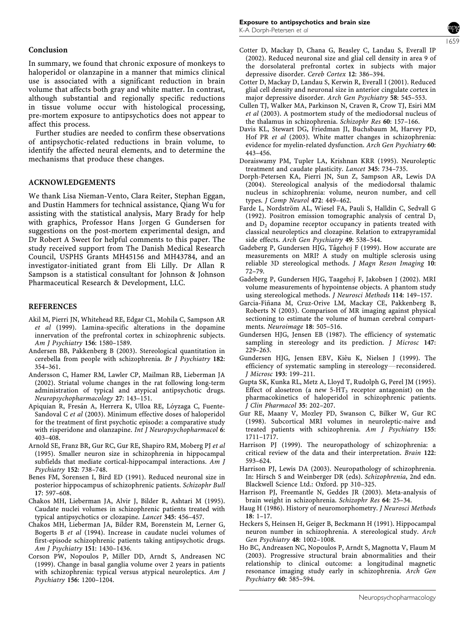In summary, we found that chronic exposure of monkeys to haloperidol or olanzapine in a manner that mimics clinical use is associated with a significant reduction in brain volume that affects both gray and white matter. In contrast, although substantial and regionally specific reductions in tissue volume occur with histological processing, pre-mortem exposure to antipsychotics does not appear to affect this process.

Further studies are needed to confirm these observations of antipsychotic-related reductions in brain volume, to identify the affected neural elements, and to determine the mechanisms that produce these changes.

## ACKNOWLEDGEMENTS

We thank Lisa Nieman-Vento, Clara Reiter, Stephan Eggan, and Dustin Hammers for technical assistance, Qiang Wu for assisting with the statistical analysis, Mary Brady for help with graphics, Professor Hans Jørgen G Gundersen for suggestions on the post-mortem experimental design, and Dr Robert A Sweet for helpful comments to this paper. The study received support from The Danish Medical Research Council, USPHS Grants MH45156 and MH43784, and an investigator-initiated grant from Eli Lilly. Dr Allan R Sampson is a statistical consultant for Johnson & Johnson Pharmaceutical Research & Development, LLC.

#### REFERENCES

- Akil M, Pierri JN, Whitehead RE, Edgar CL, Mohila C, Sampson AR et al (1999). Lamina-specific alterations in the dopamine innervation of the prefrontal cortex in schizophrenic subjects. Am J Psychiatry 156: 1580–1589.
- Andersen BB, Pakkenberg B (2003). Stereological quantitation in cerebella from people with schizophrenia. Br J Psychiatry 182: 354–361.
- Andersson C, Hamer RM, Lawler CP, Mailman RB, Lieberman JA (2002). Striatal volume changes in the rat following long-term administration of typical and atypical antipsychotic drugs. Neuropsychopharmacology 27: 143–151.
- Apiquian R, Fresán A, Herrera K, Ulloa RE, Lóyzaga C, Fuente-Sandoval C et al (2003). Minimum effective doses of haloperidol for the treatment of first psychotic episode: a comparative study with risperidone and olanzapine. Int J Neuropsychopharmacol 6: 403–408.
- Arnold SE, Franz BR, Gur RC, Gur RE, Shapiro RM, Moberg PJ et al (1995). Smaller neuron size in schizophrenia in hippocampal subfields that mediate cortical-hippocampal interactions. Am J Psychiatry 152: 738–748.
- Benes FM, Sorensen I, Bird ED (1991). Reduced neuronal size in posterior hippocampus of schizophrenic patients. Schizophr Bull 17: 597–608.
- Chakos MH, Lieberman JA, Alvir J, Bilder R, Ashtari M (1995). Caudate nuclei volumes in schizophrenic patients treated with typical antipsychotics or clozapine. Lancet 345: 456–457.
- Chakos MH, Lieberman JA, Bilder RM, Borenstein M, Lerner G, Bogerts B et al (1994). Increase in caudate nuclei volumes of first-episode schizophrenic patients taking antipsychotic drugs. Am J Psychiatry 151: 1430–1436.
- Corson PW, Nopoulos P, Miller DD, Arndt S, Andreasen NC (1999). Change in basal ganglia volume over 2 years in patients with schizophrenia: typical versus atypical neuroleptics. Am J Psychiatry 156: 1200–1204.
- Cotter D, Mackay D, Chana G, Beasley C, Landau S, Everall IP (2002). Reduced neuronal size and glial cell density in area 9 of the dorsolateral prefrontal cortex in subjects with major depressive disorder. Cereb Cortex 12: 386–394.
- Cotter D, Mackay D, Landau S, Kerwin R, Everall I (2001). Reduced glial cell density and neuronal size in anterior cingulate cortex in major depressive disorder. Arch Gen Psychiatry 58: 545–553.
- Cullen TJ, Walker MA, Parkinson N, Craven R, Crow TJ, Esiri MM et al (2003). A postmortem study of the mediodorsal nucleus of the thalamus in schizophrenia. Schizophr Res 60: 157–166.
- Davis KL, Stewart DG, Friedman JI, Buchsbaum M, Harvey PD, Hof PR et al (2003). White matter changes in schizophrenia: evidence for myelin-related dysfunction. Arch Gen Psychiatry 60: 443–456.
- Doraiswamy PM, Tupler LA, Krishnan KRR (1995). Neuroleptic treatment and caudate plasticity. Lancet 345: 734–735.
- Dorph-Petersen KA, Pierri JN, Sun Z, Sampson AR, Lewis DA (2004). Stereological analysis of the mediodorsal thalamic nucleus in schizophrenia: volume, neuron number, and cell types. J Comp Neurol 472: 449–462.
- Farde L, Nordström AL, Wiesel FA, Pauli S, Halldin C, Sedvall G (1992). Positron emission tomographic analysis of central  $D_1$ and  $D_2$  dopamine receptor occupancy in patients treated with classical neuroleptics and clozapine. Relation to extrapyramidal side effects. Arch Gen Psychiatry 49: 538–544.
- Gadeberg P, Gundersen HJG, Tågehøj F (1999). How accurate are measurements on MRI? A study on multiple sclerosis using reliable 3D stereological methods. J Magn Reson Imaging 10: 72–79.
- Gadeberg P, Gundersen HJG, Taagehøj F, Jakobsen J (2002). MRI volume measurements of hypointense objects. A phantom study using stereological methods. J Neurosci Methods 114: 149–157.
- Garcia-Fiñana M, Cruz-Orive LM, Mackay CE, Pakkenberg B, Roberts N (2003). Comparison of MR imaging against physical sectioning to estimate the volume of human cerebral compartments. Neuroimage 18: 505–516.
- Gundersen HJG, Jensen EB (1987). The efficiency of systematic sampling in stereology and its prediction. *J Microsc* 147: 229–263.
- Gundersen HJG, Jensen EBV, Kiêu K, Nielsen J (1999). The efficiency of systematic sampling in stereology-reconsidered. J Microsc 193: 199–211.
- Gupta SK, Kunka RL, Metz A, Lloyd T, Rudolph G, Perel JM (1995). Effect of alosetron (a new  $5-HT<sub>3</sub>$  receptor antagonist) on the pharmacokinetics of haloperidol in schizophrenic patients. J Clin Pharmacol 35: 202–207.
- Gur RE, Maany V, Mozley PD, Swanson C, Bilker W, Gur RC (1998). Subcortical MRI volumes in neuroleptic-naive and treated patients with schizophrenia. Am J Psychiatry 155: 1711–1717.
- Harrison PJ (1999). The neuropathology of schizophrenia: a critical review of the data and their interpretation. Brain 122: 593–624.
- Harrison PJ, Lewis DA (2003). Neuropathology of schizophrenia. In: Hirsch S and Weinberger DR (eds). Schizophrenia, 2nd edn. Blackwell Science Ltd.: Oxford. pp 310–325.
- Harrison PJ, Freemantle N, Geddes JR (2003). Meta-analysis of brain weight in schizophrenia. Schizophr Res 64: 25–34.
- Haug H (1986). History of neuromorphometry. J Neurosci Methods  $18: 1-17$
- Heckers S, Heinsen H, Geiger B, Beckmann H (1991). Hippocampal neuron number in schizophrenia. A stereological study. Arch Gen Psychiatry 48: 1002–1008.
- Ho BC, Andreasen NC, Nopoulos P, Arndt S, Magnotta V, Flaum M (2003). Progressive structural brain abnormalities and their relationship to clinical outcome: a longitudinal magnetic resonance imaging study early in schizophrenia. Arch Gen Psychiatry 60: 585–594.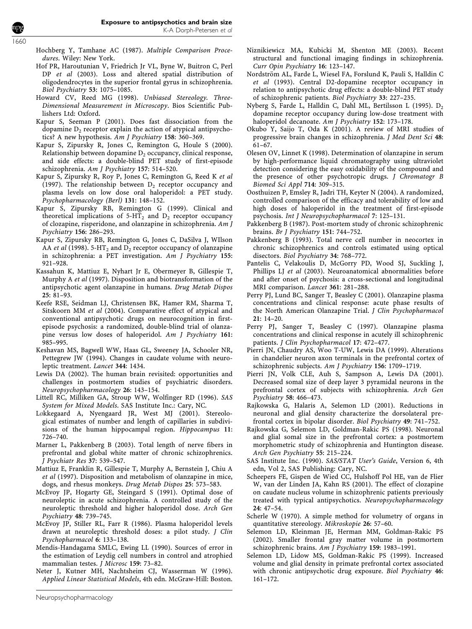- Hochberg Y, Tamhane AC (1987). Multiple Comparison Procedures. Wiley: New York.
- Hof PR, Haroutunian V, Friedrich Jr VL, Byne W, Buitron C, Perl DP et al (2003). Loss and altered spatial distribution of oligodendrocytes in the superior frontal gyrus in schizophrenia. Biol Psychiatry 53: 1075–1085.
- Howard CV, Reed MG (1998). Unbiased Stereology. Three-Dimensional Measurement in Microscopy. Bios Scientific Publishers Ltd: Oxford.
- Kapur S, Seeman P (2001). Does fast dissociation from the dopamine  $D_2$  receptor explain the action of atypical antipsychotics? A new hypothesis. Am J Psychiatry 158: 360–369.
- Kapur S, Zipursky R, Jones C, Remington G, Houle S (2000). Relationship between dopamine  $D<sub>2</sub>$  occupancy, clinical response, and side effects: a double-blind PET study of first-episode schizophrenia. Am J Psychiatry 157: 514–520.
- Kapur S, Zipursky R, Roy P, Jones C, Remington G, Reed K et al (1997). The relationship between  $D_2$  receptor occupancy and plasma levels on low dose oral haloperidol: a PET study. Psychopharmacology (Berl) 131: 148–152.
- Kapur S, Zipursky RB, Remington G (1999). Clinical and theoretical implications of  $5-HT_2$  and  $D_2$  receptor occupancy of clozapine, risperidone, and olanzapine in schizophrenia. Am J Psychiatry 156: 286–293.
- Kapur S, Zipursky RB, Remington G, Jones C, DaSilva J, WIlson AA et al (1998). 5-HT<sub>2</sub> and  $D_2$  receptor occupancy of olanzapine in schizophrenia: a PET investigation. Am J Psychiatry 155: 921–928.
- Kassahun K, Mattiuz E, Nyhart Jr E, Obermeyer B, Gillespie T, Murphy A et al (1997). Disposition and biotransformation of the antipsychotic agent olanzapine in humans. Drug Metab Dispos 25: 81–93.
- Keefe RSE, Seidman LJ, Christensen BK, Hamer RM, Sharma T, Sitskoorn MM et al (2004). Comparative effect of atypical and conventional antipsychotic drugs on neurocognition in firstepisode psychosis: a randomized, double-blind trial of olanzapine versus low doses of haloperidol. Am J Psychiatry 161: 985–995.
- Keshavan MS, Bagwell WW, Haas GL, Sweeney JA, Schooler NR, Pettegrew JW (1994). Changes in caudate volume with neuroleptic treatment. Lancet 344: 1434.
- Lewis DA (2002). The human brain revisited: opportunities and challenges in postmortem studies of psychiatric disorders. Neuropsychopharmacology 26: 143–154.
- Littell RC, Milliken GA, Stroup WW, Wolfinger RD (1996). SAS System for Mixed Models. SAS Institute Inc.: Cary, NC.
- Løkkegaard A, Nyengaard JR, West MJ (2001). Stereological estimates of number and length of capillaries in subdivisions of the human hippocampal region. Hippocampus 11: 726–740.
- Marner L, Pakkenberg B (2003). Total length of nerve fibers in prefrontal and global white matter of chronic schizophrenics. J Psychiatr Res 37: 539–547.
- Mattiuz E, Franklin R, Gillespie T, Murphy A, Bernstein J, Chiu A et al (1997). Disposition and metabolism of olanzapine in mice, dogs, and rhesus monkeys. Drug Metab Dispos 25: 573–583.
- McEvoy JP, Hogarty GE, Steingard S (1991). Optimal dose of neuroleptic in acute schizophrenia. A controlled study of the neuroleptic threshold and higher haloperidol dose. Arch Gen Psychiatry 48: 739–745.
- McEvoy JP, Stiller RL, Farr R (1986). Plasma haloperidol levels drawn at neuroleptic threshold doses: a pilot study. J Clin Psychopharmacol 6: 133–138.
- Mendis-Handagama SMLC, Ewing LL (1990). Sources of error in the estimation of Leydig cell numbers in control and atrophied mammalian testes. J Microsc 159: 73–82.
- Neter J, Kutner MH, Nachtsheim CJ, Wasserman W (1996). Applied Linear Statistical Models, 4th edn. McGraw-Hill: Boston.
- Niznikiewicz MA, Kubicki M, Shenton ME (2003). Recent structural and functional imaging findings in schizophrenia. Curr Opin Psychiatry 16: 123–147.
- Nordström AL, Farde L, Wiesel FA, Forslund K, Pauli S, Halldin C et al (1993). Central D2-dopamine receptor occupancy in relation to antipsychotic drug effects: a double-blind PET study of schizophrenic patients. Biol Psychiatry 33: 227–235.
- Nyberg S, Farde L, Halldin C, Dahl ML, Bertilsson L (1995). D<sub>2</sub> dopamine receptor occupancy during low-dose treatment with haloperidol decanoate. Am J Psychiatry 152: 173-178.
- Okubo Y, Saijo T, Oda K (2001). A review of MRI studies of progressive brain changes in schizophrenia. J Med Dent Sci 48: 61–67.
- Olesen OV, Linnet K (1998). Determination of olanzapine in serum by high-performance liquid chromatography using ultraviolet detection considering the easy oxidability of the compound and the presence of other psychotropic drugs. J Chromatogr B Biomed Sci Appl 714: 309–315.
- Oosthuizen P, Emsley R, Jadri TH, Keyter N (2004). A randomized, controlled comparison of the efficacy and tolerability of low and high doses of haloperidol in the treatment of first-episode psychosis. Int J Neuropsychopharmacol 7: 125–131.
- Pakkenberg B (1987). Post-mortem study of chronic schizophrenic brains. Br J Psychiatry 151: 744–752.
- Pakkenberg B (1993). Total nerve cell number in neocortex in chronic schizophrenics and controls estimated using optical disectors. Biol Psychiatry 34: 768–772.
- Pantelis C, Velakoulis D, McGorry PD, Wood SJ, Suckling J, Phillips LJ et al (2003). Neuroanatomical abnormalities before and after onset of psychosis: a cross-sectional and longitudinal MRI comparison. Lancet 361: 281–288.
- Perry PJ, Lund BC, Sanger T, Beasley C (2001). Olanzapine plasma concentrations and clinical response: acute phase results of the North American Olanzapine Trial. J Clin Psychopharmacol 21: 14–20.
- Perry PJ, Sanger T, Beasley C (1997). Olanzapine plasma concentrations and clinical response in acutely ill schizophrenic patients. J Clin Psychopharmacol 17: 472–477.
- Pierri JN, Chaudry AS, Woo T-UW, Lewis DA (1999). Alterations in chandelier neuron axon terminals in the prefrontal cortex of schizophrenic subjects. Am J Psychiatry 156: 1709-1719.
- Pierri JN, Volk CLE, Auh S, Sampson A, Lewis DA (2001). Decreased somal size of deep layer 3 pyramidal neurons in the prefrontal cortex of subjects with schizophrenia. Arch Gen Psychiatry 58: 466–473.
- Rajkowska G, Halaris A, Selemon LD (2001). Reductions in neuronal and glial density characterize the dorsolateral prefrontal cortex in bipolar disorder. Biol Psychiatry 49: 741–752.
- Rajkowska G, Selemon LD, Goldman-Rakic PS (1998). Neuronal and glial somal size in the prefrontal cortex: a postmortem morphometric study of schizophrenia and Huntington disease. Arch Gen Psychiatry 55: 215–224.
- SAS Institute Inc. (1990). SAS/STAT User's Guide, Version 6, 4th edn, Vol 2, SAS Publishing: Cary, NC.
- Scheepers FE, Gispen de Wied CC, Hulshoff Pol HE, van de Flier W, van der Linden JA, Kahn RS (2001). The effect of clozapine on caudate nucleus volume in schizophrenic patients previously treated with typical antipsychotics. Neuropsychopharmacology 24: 47–54.
- Scherle W (1970). A simple method for volumetry of organs in quantitative stereology. Mikroskopie 26: 57–60.
- Selemon LD, Kleinman JE, Herman MM, Goldman-Rakic PS (2002). Smaller frontal gray matter volume in postmortem schizophrenic brains. Am J Psychiatry 159: 1983-1991.
- Selemon LD, Lidow MS, Goldman-Rakic PS (1999). Increased volume and glial density in primate prefrontal cortex associated with chronic antipsychotic drug exposure. Biol Psychiatry 46: 161–172.